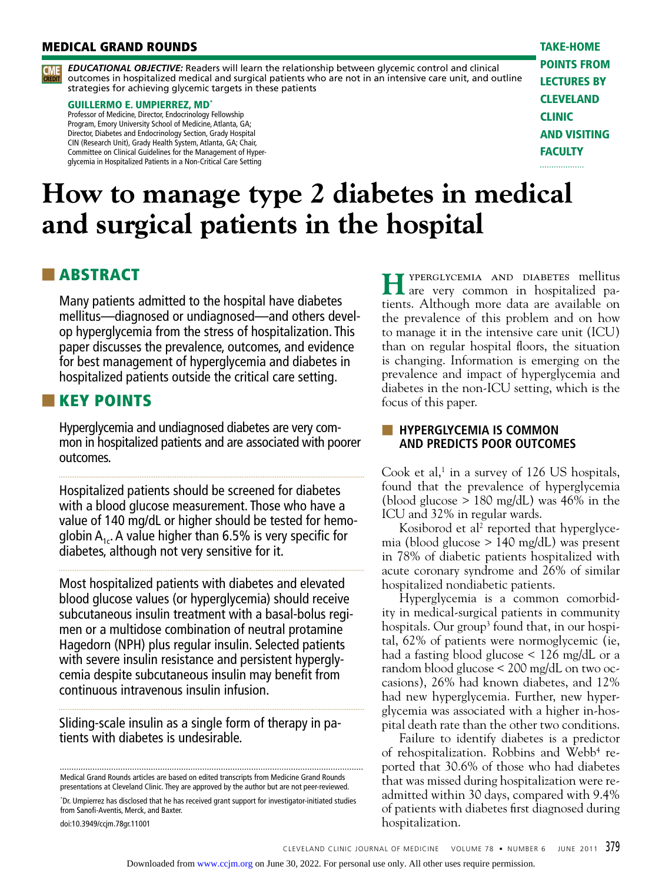# **MEDICAL GRAND ROUNDS** TAKE-HOME



*EDUCATIONAL OBJECTIVE:* Readers will learn the relationship between glycemic control and clinical outcomes in hospitalized medical and surgical patients who are not in an intensive care unit, and outline **CREDIT** CME strategies for achieving glycemic targets in these patients

#### GUILLERMO E. UMPIERREZ, MD\*

Professor of Medicine, Director, Endocrinology Fellowship Program, Emory University School of Medicine, Atlanta, GA; Director, Diabetes and Endocrinology Section, Grady Hospital CIN (Research Unit), Grady Health System, Atlanta, GA; Chair, Committee on Clinical Guidelines for the Management of Hyperglycemia in Hospitalized Patients in a Non-Critical Care Setting

points from lectures by **CLEVELAND CLINIC** and visiting **FACULTY** . . . . . . . . . . . . . . . . .

# **How to manage type 2 diabetes in medical and surgical patients in the hospital**

# ■ ABSTRACT

Many patients admitted to the hospital have diabetes mellitus—diagnosed or undiagnosed—and others develop hyperglycemia from the stress of hospitalization. This paper discusses the prevalence, outcomes, and evidence for best management of hyperglycemia and diabetes in hospitalized patients outside the critical care setting.

# ■■ KEY POINTS

Hyperglycemia and undiagnosed diabetes are very common in hospitalized patients and are associated with poorer outcomes.

Hospitalized patients should be screened for diabetes with a blood glucose measurement. Those who have a value of 140 mg/dL or higher should be tested for hemoglobin  $A_{1c}$ . A value higher than 6.5% is very specific for diabetes, although not very sensitive for it.

Most hospitalized patients with diabetes and elevated blood glucose values (or hyperglycemia) should receive subcutaneous insulin treatment with a basal-bolus regimen or a multidose combination of neutral protamine Hagedorn (NPH) plus regular insulin. Selected patients with severe insulin resistance and persistent hyperglycemia despite subcutaneous insulin may benefit from continuous intravenous insulin infusion.

Sliding-scale insulin as a single form of therapy in patients with diabetes is undesirable.

Medical Grand Rounds articles are based on edited transcripts from Medicine Grand Rounds presentations at Cleveland Clinic. They are approved by the author but are not peer-reviewed.

\* Dr. Umpierrez has disclosed that he has received grant support for investigator-initiated studies from Sanofi-Aventis, Merck, and Baxter.

doi:10.3949/ccjm.78gr.11001

 $H$ <sup>YPERGLYCEMIA AND DIABETES mellitus are very common in hospitalized pa-</sup> tients. Although more data are available on the prevalence of this problem and on how to manage it in the intensive care unit (ICU) than on regular hospital floors, the situation is changing. Information is emerging on the prevalence and impact of hyperglycemia and diabetes in the non-ICU setting, which is the focus of this paper.

# **EXTENSIVE EXAMPLE IS COMMON AND PREDICTS POOR OUTCOMES**

Cook et al, $^1$  in a survey of 126 US hospitals, found that the prevalence of hyperglycemia (blood glucose  $> 180$  mg/dL) was 46% in the ICU and 32% in regular wards.

Kosiborod et al<sup>2</sup> reported that hyperglycemia (blood glucose > 140 mg/dL) was present in 78% of diabetic patients hospitalized with acute coronary syndrome and 26% of similar hospitalized nondiabetic patients.

Hyperglycemia is a common comorbidity in medical-surgical patients in community hospitals. Our group<sup>3</sup> found that, in our hospital, 62% of patients were normoglycemic (ie, had a fasting blood glucose < 126 mg/dL or a random blood glucose < 200 mg/dL on two occasions), 26% had known diabetes, and 12% had new hyperglycemia. Further, new hyperglycemia was associated with a higher in-hospital death rate than the other two conditions.

Failure to identify diabetes is a predictor of rehospitalization. Robbins and Webb<sup>4</sup> reported that 30.6% of those who had diabetes that was missed during hospitalization were readmitted within 30 days, compared with 9.4% of patients with diabetes first diagnosed during hospitalization.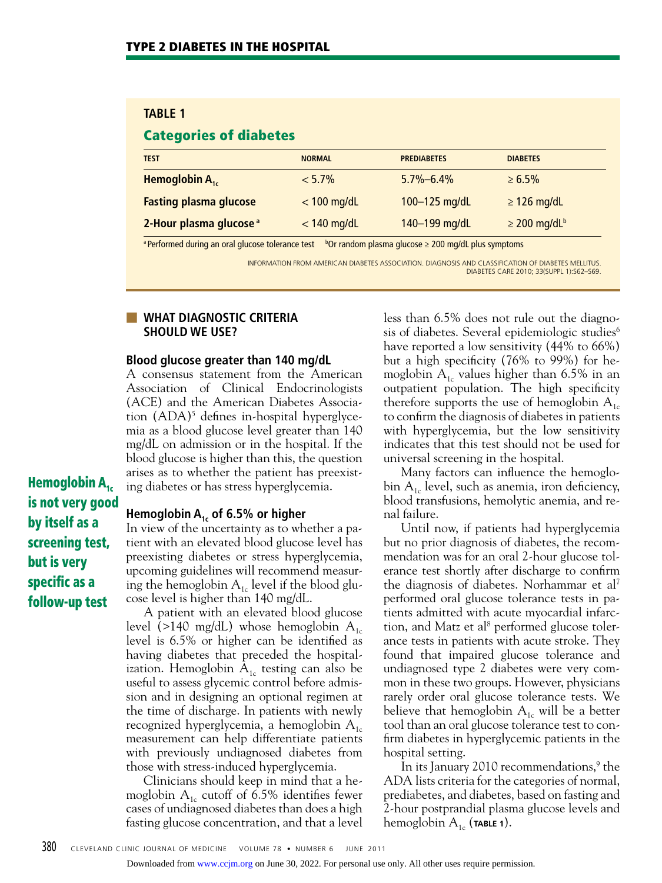# **TABLE 1**

# Categories of diabetes

| <b>TEST</b>                        | <b>NORMAL</b> | <b>PREDIABETES</b> | <b>DIABETES</b>               |
|------------------------------------|---------------|--------------------|-------------------------------|
| Hemoglobin $A_{1c}$                | $< 5.7\%$     | $5.7\% - 6.4\%$    | $\ge 6.5\%$                   |
| <b>Fasting plasma glucose</b>      | $<$ 100 mg/dL | 100-125 mg/dL      | $\geq$ 126 mg/dL              |
| 2-Hour plasma glucose <sup>a</sup> | $<$ 140 mg/dL | 140-199 mg/dL      | $\geq$ 200 mg/dL <sup>b</sup> |

<sup>a</sup> Performed during an oral glucose tolerance test b<sup>o</sup>Or random plasma glucose ≥ 200 mg/dL plus symptoms

INFORMATION FROM AMERICAN DIABETES ASSOCIATION. DIAGNOSIS AND CLASSIFICATION OF DIABETES MELLITUS. DIABETES CARE 2010; 33(SUPPL 1):S62–S69.

### ■ **WHAT DIAGNOSTIC CRITERIA SHOULD WE USE?**

#### **Blood glucose greater than 140 mg/dL**

A consensus statement from the American Association of Clinical Endocrinologists (ACE) and the American Diabetes Association (ADA)<sup>5</sup> defines in-hospital hyperglycemia as a blood glucose level greater than 140 mg/dL on admission or in the hospital. If the blood glucose is higher than this, the question arises as to whether the patient has preexisting diabetes or has stress hyperglycemia.

Hemoglobin  $A_{1c}$ is not very good by itself as a screening test, but is very specific as a follow-up test

#### **Hemoglobin A1c of 6.5% or higher**

In view of the uncertainty as to whether a patient with an elevated blood glucose level has preexisting diabetes or stress hyperglycemia, upcoming guidelines will recommend measuring the hemoglobin  $A_{1c}$  level if the blood glucose level is higher than 140 mg/dL.

A patient with an elevated blood glucose level (>140 mg/dL) whose hemoglobin  $A_{1c}$ level is 6.5% or higher can be identified as having diabetes that preceded the hospitalization. Hemoglobin  $A_{1c}$  testing can also be useful to assess glycemic control before admission and in designing an optional regimen at the time of discharge. In patients with newly recognized hyperglycemia, a hemoglobin  $A_{1c}$ measurement can help differentiate patients with previously undiagnosed diabetes from those with stress-induced hyperglycemia.

Clinicians should keep in mind that a hemoglobin  $A_{1c}$  cutoff of 6.5% identifies fewer cases of undiagnosed diabetes than does a high fasting glucose concentration, and that a level

less than 6.5% does not rule out the diagnosis of diabetes. Several epidemiologic studies<sup>6</sup> have reported a low sensitivity (44% to 66%) but a high specificity (76% to 99%) for hemoglobin  $A_{1c}$  values higher than 6.5% in an outpatient population. The high specificity therefore supports the use of hemoglobin  $A_{1c}$ to confirm the diagnosis of diabetes in patients with hyperglycemia, but the low sensitivity indicates that this test should not be used for universal screening in the hospital.

Many factors can influence the hemoglobin  $A_{1c}$  level, such as anemia, iron deficiency, blood transfusions, hemolytic anemia, and renal failure.

Until now, if patients had hyperglycemia but no prior diagnosis of diabetes, the recommendation was for an oral 2-hour glucose tolerance test shortly after discharge to confirm the diagnosis of diabetes. Norhammar et al7 performed oral glucose tolerance tests in patients admitted with acute myocardial infarction, and Matz et al<sup>8</sup> performed glucose tolerance tests in patients with acute stroke. They found that impaired glucose tolerance and undiagnosed type 2 diabetes were very common in these two groups. However, physicians rarely order oral glucose tolerance tests. We believe that hemoglobin  $A_{1c}$  will be a better tool than an oral glucose tolerance test to confirm diabetes in hyperglycemic patients in the hospital setting.

In its January 2010 recommendations,<sup>9</sup> the ADA lists criteria for the categories of normal, prediabetes, and diabetes, based on fasting and 2-hour postprandial plasma glucose levels and hemoglobin  $A_{1c}$  (**TABLE 1**).

Downloaded from [www.ccjm.org](http://www.ccjm.org/) on June 30, 2022. For personal use only. All other uses require permission.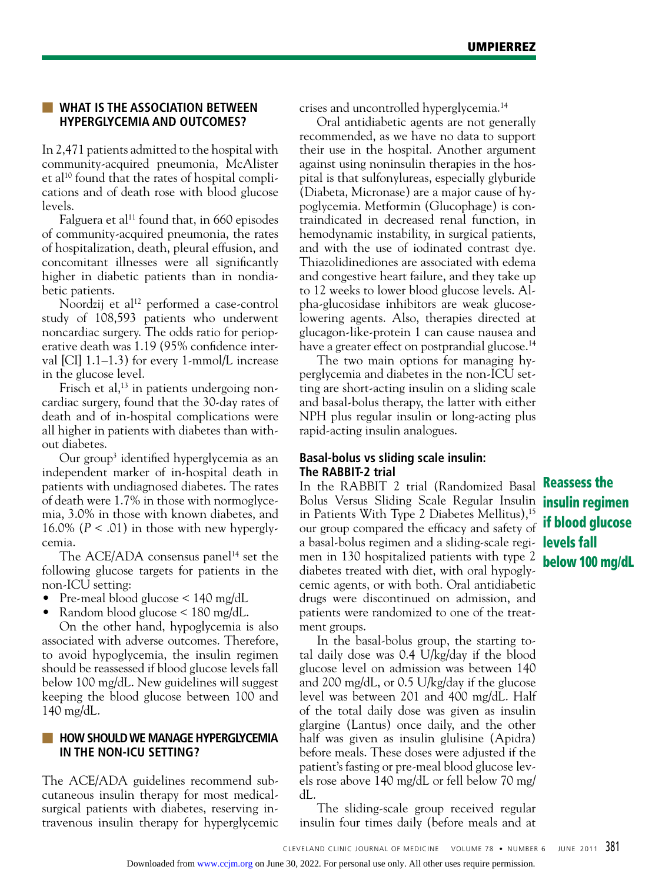# **EX WHAT IS THE ASSOCIATION BETWEEN HYPERGLYCEMIA AND OUTCOMES?**

In 2,471 patients admitted to the hospital with community-acquired pneumonia, McAlister et al<sup>10</sup> found that the rates of hospital complications and of death rose with blood glucose levels.

Falguera et al<sup>11</sup> found that, in  $660$  episodes of community-acquired pneumonia, the rates of hospitalization, death, pleural effusion, and concomitant illnesses were all significantly higher in diabetic patients than in nondiabetic patients.

Noordzij et al<sup>12</sup> performed a case-control study of 108,593 patients who underwent noncardiac surgery. The odds ratio for perioperative death was 1.19 (95% confidence interval [CI] 1.1–1.3) for every 1-mmol/L increase in the glucose level.

Frisch et al,<sup>13</sup> in patients undergoing noncardiac surgery, found that the 30-day rates of death and of in-hospital complications were all higher in patients with diabetes than without diabetes.

Our group3 identified hyperglycemia as an independent marker of in-hospital death in patients with undiagnosed diabetes. The rates of death were 1.7% in those with normoglycemia, 3.0% in those with known diabetes, and 16.0% ( $P < .01$ ) in those with new hyperglycemia.

The ACE/ADA consensus panel<sup>14</sup> set the following glucose targets for patients in the non-ICU setting:

- Pre-meal blood glucose  $\leq 140$  mg/dL
- Random blood glucose < 180 mg/dL.

On the other hand, hypoglycemia is also associated with adverse outcomes. Therefore, to avoid hypoglycemia, the insulin regimen should be reassessed if blood glucose levels fall below 100 mg/dL. New guidelines will suggest keeping the blood glucose between 100 and 140 mg/dL.

# **HOW SHOULD WE MANAGE HYPERGLYCEMIA IN THE NON-ICU SETTING?**

The ACE/ADA guidelines recommend subcutaneous insulin therapy for most medicalsurgical patients with diabetes, reserving intravenous insulin therapy for hyperglycemic crises and uncontrolled hyperglycemia.14

Oral antidiabetic agents are not generally recommended, as we have no data to support their use in the hospital. Another argument against using noninsulin therapies in the hospital is that sulfonylureas, especially glyburide (Diabeta, Micronase) are a major cause of hypoglycemia. Metformin (Glucophage) is contraindicated in decreased renal function, in hemodynamic instability, in surgical patients, and with the use of iodinated contrast dye. Thiazolidinediones are associated with edema and congestive heart failure, and they take up to 12 weeks to lower blood glucose levels. Alpha-glucosidase inhibitors are weak glucoselowering agents. Also, therapies directed at glucagon-like-protein 1 can cause nausea and have a greater effect on postprandial glucose.<sup>14</sup>

The two main options for managing hyperglycemia and diabetes in the non-ICU setting are short-acting insulin on a sliding scale and basal-bolus therapy, the latter with either NPH plus regular insulin or long-acting plus rapid-acting insulin analogues.

# **Basal-bolus vs sliding scale insulin: The RABBIT-2 trial**

In the RABBIT 2 trial (Randomized Basal **Reassess the** Bolus Versus Sliding Scale Regular Insulin *insulin regimen* in Patients With Type 2 Diabetes Mellitus),<sup>15</sup> our group compared the efficacy and safety of **if blood glucose** a basal-bolus regimen and a sliding-scale regi- **levels fall** men in 130 hospitalized patients with type 2 diabetes treated with diet, with oral hypoglycemic agents, or with both. Oral antidiabetic drugs were discontinued on admission, and patients were randomized to one of the treatment groups.

In the basal-bolus group, the starting total daily dose was 0.4 U/kg/day if the blood glucose level on admission was between 140 and 200 mg/dL, or 0.5 U/kg/day if the glucose level was between 201 and 400 mg/dL. Half of the total daily dose was given as insulin glargine (Lantus) once daily, and the other half was given as insulin glulisine (Apidra) before meals. These doses were adjusted if the patient's fasting or pre-meal blood glucose levels rose above 140 mg/dL or fell below 70 mg/ dL.

The sliding-scale group received regular insulin four times daily (before meals and at

below 100 mg/dL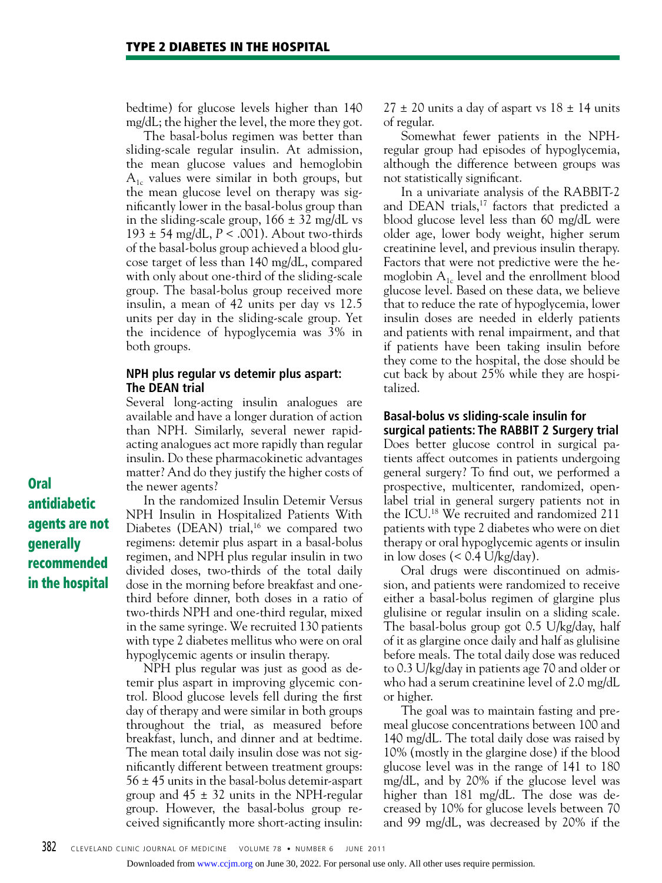bedtime) for glucose levels higher than 140 mg/dL; the higher the level, the more they got.

The basal-bolus regimen was better than sliding-scale regular insulin. At admission, the mean glucose values and hemoglobin  $A_{1c}$  values were similar in both groups, but the mean glucose level on therapy was significantly lower in the basal-bolus group than in the sliding-scale group,  $166 \pm 32$  mg/dL vs 193 ± 54 mg/dL, *P* < .001). About two-thirds of the basal-bolus group achieved a blood glucose target of less than 140 mg/dL, compared with only about one-third of the sliding-scale group. The basal-bolus group received more insulin, a mean of 42 units per day vs 12.5 units per day in the sliding-scale group. Yet the incidence of hypoglycemia was 3% in both groups.

# **NPH plus regular vs detemir plus aspart: The DEAN trial**

Several long-acting insulin analogues are available and have a longer duration of action than NPH. Similarly, several newer rapidacting analogues act more rapidly than regular insulin. Do these pharmacokinetic advantages matter? And do they justify the higher costs of the newer agents?

In the randomized Insulin Detemir Versus NPH Insulin in Hospitalized Patients With Diabetes (DEAN) trial, $16$  we compared two regimens: detemir plus aspart in a basal-bolus regimen, and NPH plus regular insulin in two divided doses, two-thirds of the total daily dose in the morning before breakfast and onethird before dinner, both doses in a ratio of two-thirds NPH and one-third regular, mixed in the same syringe. We recruited 130 patients with type 2 diabetes mellitus who were on oral hypoglycemic agents or insulin therapy.

NPH plus regular was just as good as detemir plus aspart in improving glycemic control. Blood glucose levels fell during the first day of therapy and were similar in both groups throughout the trial, as measured before breakfast, lunch, and dinner and at bedtime. The mean total daily insulin dose was not significantly different between treatment groups: 56 ± 45 units in the basal-bolus detemir-aspart group and  $45 \pm 32$  units in the NPH-regular group. However, the basal-bolus group received significantly more short-acting insulin:

 $27 \pm 20$  units a day of aspart vs  $18 \pm 14$  units of regular.

Somewhat fewer patients in the NPHregular group had episodes of hypoglycemia, although the difference between groups was not statistically significant.

In a univariate analysis of the RABBIT-2 and DEAN trials,<sup>17</sup> factors that predicted a blood glucose level less than 60 mg/dL were older age, lower body weight, higher serum creatinine level, and previous insulin therapy. Factors that were not predictive were the hemoglobin  $A_{1c}$  level and the enrollment blood glucose level. Based on these data, we believe that to reduce the rate of hypoglycemia, lower insulin doses are needed in elderly patients and patients with renal impairment, and that if patients have been taking insulin before they come to the hospital, the dose should be cut back by about 25% while they are hospitalized.

# **Basal-bolus vs sliding-scale insulin for surgical patients: The RABBIT 2 Surgery trial**

Does better glucose control in surgical patients affect outcomes in patients undergoing general surgery? To find out, we performed a prospective, multicenter, randomized, openlabel trial in general surgery patients not in the ICU.18 We recruited and randomized 211 patients with type 2 diabetes who were on diet therapy or oral hypoglycemic agents or insulin in low doses  $(< 0.4$  U/kg/day).

Oral drugs were discontinued on admission, and patients were randomized to receive either a basal-bolus regimen of glargine plus glulisine or regular insulin on a sliding scale. The basal-bolus group got 0.5 U/kg/day, half of it as glargine once daily and half as glulisine before meals. The total daily dose was reduced to 0.3 U/kg/day in patients age 70 and older or who had a serum creatinine level of 2.0 mg/dL or higher.

The goal was to maintain fasting and premeal glucose concentrations between 100 and 140 mg/dL. The total daily dose was raised by 10% (mostly in the glargine dose) if the blood glucose level was in the range of 141 to 180 mg/dL, and by 20% if the glucose level was higher than 181 mg/dL. The dose was decreased by 10% for glucose levels between 70 and 99 mg/dL, was decreased by 20% if the

Oral antidiabetic agents are not generally recommended in the hospital

Downloaded from [www.ccjm.org](http://www.ccjm.org/) on June 30, 2022. For personal use only. All other uses require permission.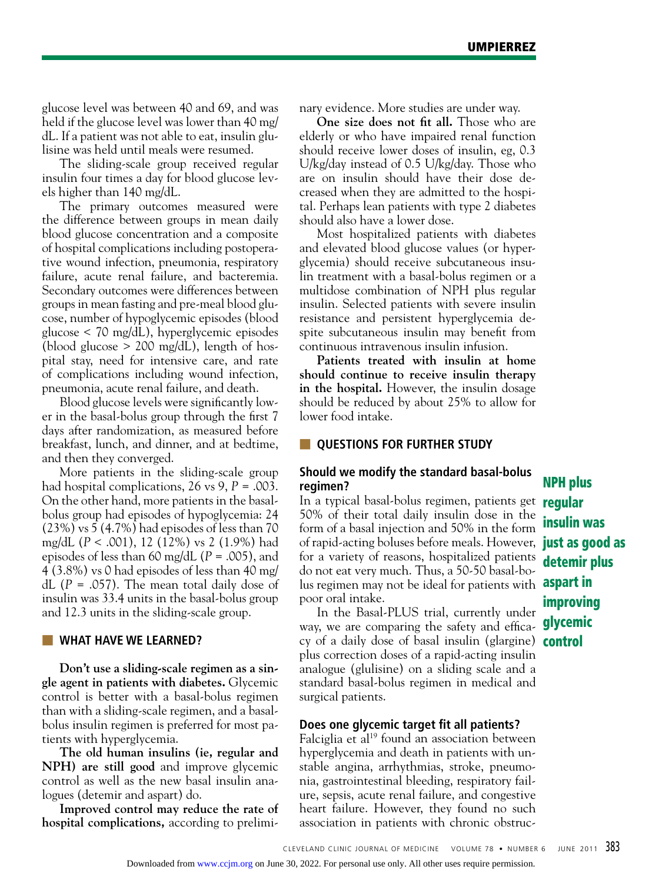glucose level was between 40 and 69, and was held if the glucose level was lower than 40 mg/ dL. If a patient was not able to eat, insulin glulisine was held until meals were resumed.

The sliding-scale group received regular insulin four times a day for blood glucose levels higher than 140 mg/dL.

The primary outcomes measured were the difference between groups in mean daily blood glucose concentration and a composite of hospital complications including postoperative wound infection, pneumonia, respiratory failure, acute renal failure, and bacteremia. Secondary outcomes were differences between groups in mean fasting and pre-meal blood glucose, number of hypoglycemic episodes (blood glucose < 70 mg/dL), hyperglycemic episodes (blood glucose  $> 200$  mg/dL), length of hospital stay, need for intensive care, and rate of complications including wound infection, pneumonia, acute renal failure, and death.

Blood glucose levels were significantly lower in the basal-bolus group through the first 7 days after randomization, as measured before breakfast, lunch, and dinner, and at bedtime, and then they converged.

More patients in the sliding-scale group had hospital complications, 26 vs 9, *P* = .003. On the other hand, more patients in the basalbolus group had episodes of hypoglycemia: 24 (23%) vs 5 (4.7%) had episodes of less than 70 mg/dL (*P* < .001), 12 (12%) vs 2 (1.9%) had episodes of less than 60 mg/dL (*P* = .005), and 4 (3.8%) vs 0 had episodes of less than 40 mg/ dL  $(P = .057)$ . The mean total daily dose of insulin was 33.4 units in the basal-bolus group and 12.3 units in the sliding-scale group.

# **WHAT HAVE WE LEARNED?**

**Don't use a sliding-scale regimen as a single agent in patients with diabetes.** Glycemic control is better with a basal-bolus regimen than with a sliding-scale regimen, and a basalbolus insulin regimen is preferred for most patients with hyperglycemia.

**The old human insulins (ie, regular and NPH) are still good** and improve glycemic control as well as the new basal insulin analogues (detemir and aspart) do.

**Improved control may reduce the rate of hospital complications,** according to preliminary evidence. More studies are under way.

**One size does not fit all.** Those who are elderly or who have impaired renal function should receive lower doses of insulin, eg, 0.3 U/kg/day instead of 0.5 U/kg/day. Those who are on insulin should have their dose decreased when they are admitted to the hospital. Perhaps lean patients with type 2 diabetes should also have a lower dose.

Most hospitalized patients with diabetes and elevated blood glucose values (or hyperglycemia) should receive subcutaneous insulin treatment with a basal-bolus regimen or a multidose combination of NPH plus regular insulin. Selected patients with severe insulin resistance and persistent hyperglycemia despite subcutaneous insulin may benefit from continuous intravenous insulin infusion.

**Patients treated with insulin at home should continue to receive insulin therapy in the hospital.** However, the insulin dosage should be reduced by about 25% to allow for lower food intake.

# **QUESTIONS FOR FURTHER STUDY**

# **Should we modify the standard basal-bolus regimen?**

In a typical basal-bolus regimen, patients get **regular** 50% of their total daily insulin dose in the form of a basal injection and 50% in the form of rapid-acting boluses before meals. However, just as good as for a variety of reasons, hospitalized patients do not eat very much. Thus, a 50-50 basal-bolus regimen may not be ideal for patients with **aspart in** poor oral intake.

In the Basal-PLUS trial, currently under way, we are comparing the safety and effica- **glycemic** cy of a daily dose of basal insulin (glargine) control plus correction doses of a rapid-acting insulin analogue (glulisine) on a sliding scale and a standard basal-bolus regimen in medical and surgical patients.

#### **Does one glycemic target fit all patients?**

Falciglia et al<sup>19</sup> found an association between hyperglycemia and death in patients with unstable angina, arrhythmias, stroke, pneumonia, gastrointestinal bleeding, respiratory failure, sepsis, acute renal failure, and congestive heart failure. However, they found no such association in patients with chronic obstruc-

NPH plus insulin was detemir plus improving